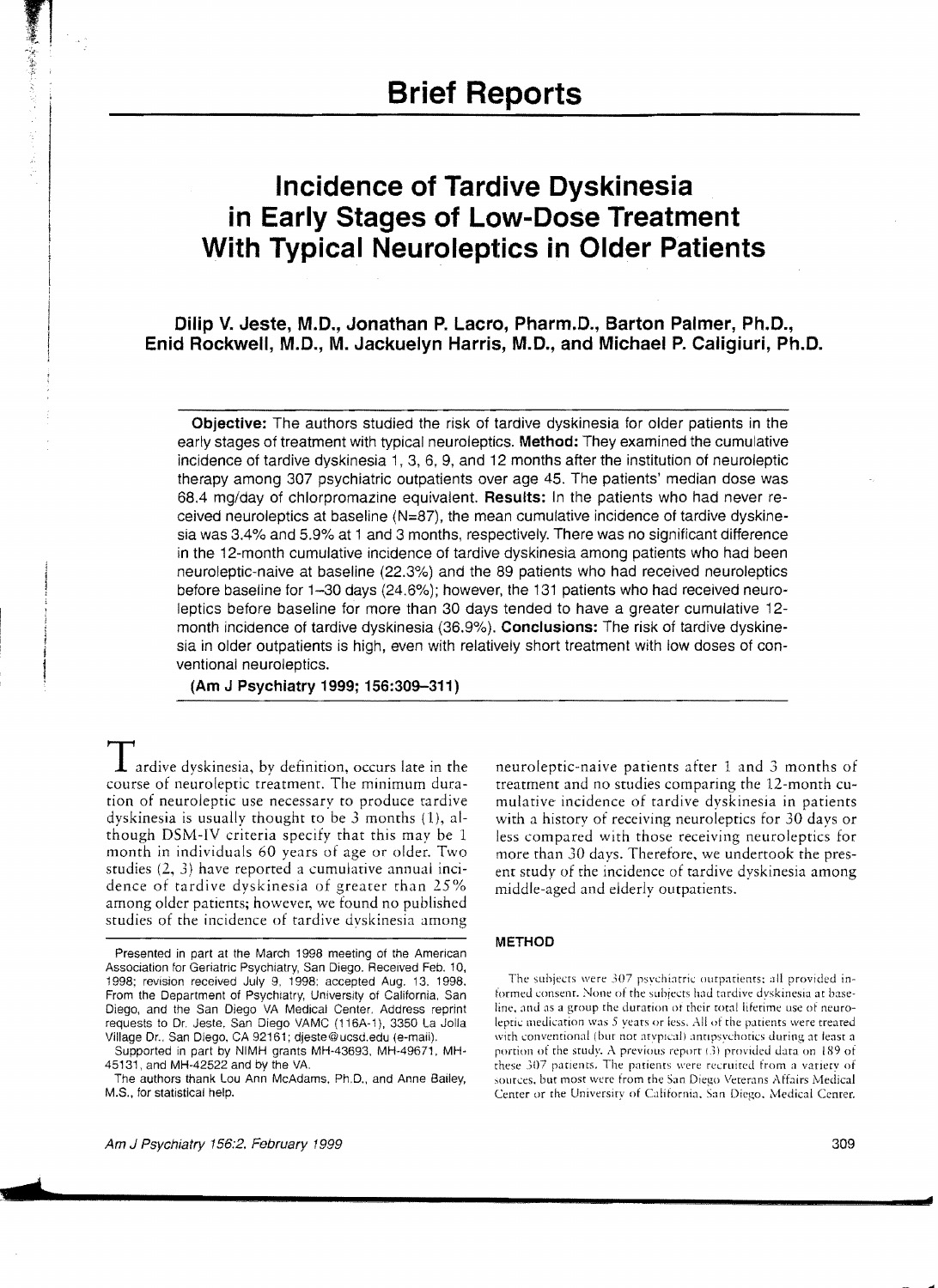# **Incidence of Tardive Dyskinesia in Early Stages of Low-Dose Treatment With Typical Neuroleptics in Older Patients**

Dilip V. Jeste, M.D., Jonathan P. Lacro, Pharm.D., Barton Palmer, Ph.D., Enid Rockwell, M.D., M. Jackuelyn Harris, M.D., and Michael P. Caligiuri, Ph.D.

Objective: The authors studied the risk of tardive dyskinesia for older patients in the early stages of treatment with typical neuroleptics. Method: They examined the cumulative incidence of tardive dyskinesia 1, 3, 6, 9, and 12 months after the institution of neuroleptic therapy among 307 psychiatric outpatients over age 45. The patients' median dose was 68.4 mg/day of chlorpromazine equivalent. Results: In the patients who had never received neuroleptics at baseline  $(N=87)$ , the mean cumulative incidence of tardive dyskinesia was 3.4% and 5.9% at 1 and 3 months, respectively. There was no significant difference in the 12-month cumulative incidence of tardive dyskinesia among patients who had been neuroleptic-naive at baseline (22.3%) and the 89 patients who had received neuroleptics before baseline for 1-30 days (24.6%); however, the 131 patients who had received neuroleptics before baseline for more than 30 days tended to have a greater cumulative 12 month incidence of tardive dyskinesia (36.9%). Conclusions: The risk of tardive dyskinesia in older outpatients is high, even with relatively short treatment with low doses of conventional neuroleptics.

(Am J Psychiatry 1999; 156:309-311)

 $\bf{1}$  ardive dyskinesia, by definition, occurs late in the course of neuroleptic treatment. The minimum duration of neuroleptic use necessary to produce tardive dyskinesia is usually thought to be 3 months (1), although DSM-IV criteria specify that this may be 1 month in individuals 60 years of age or older. Two studies (2, 3) have reported a cumulative annual incidence of tardive dyskinesia of greater than 25% among older patients; however, we found no published studies of the incidence of tardive dvskinesia among

Supported in part by NIMH grants MH-43693, MH-49671. MH-45131, and MH-42522 and by the VA.

The authors thank Lou Ann McAdams. Ph.D., and Anne Bailey, M.S., for statistical help.

neuroleptic-naive patients after 1 and 3 months of treatment and no studies comparing the 12-month cumulative incidence of tardive dyskinesia in patients with a history of receiving neuroleptics for 30 days or less compared with those receiving neuroleptics for more than 30 days. Therefore, we undertook the present study of the incidence of tardive dyskinesia among middle-aged and elderly outpatients.

## METHOD

The subjects were 307 psvchiatric ourpatients: all provided informed consent. None of the subiects had tardive dvskinesia at baseline, and as a group the duration of their total liferime use of neurolepric medication was 5 years or iess. All of rhe patients were treared with conventional (but not atypical) antipsychotics during at least a portion of the study. A previous report (3) provided data on 189 of these 307 patients. The patients were recruited from a variety of sources, but most were from the San Diego Veterans Affairs Medical Cenrer or the University of California. San Diego. Medical Cenrer.

Presented in part at the March 1998 meeting of the American Association for Geriatric Psychiatry, San Diego. Received Feb. 10, 1998; revision received July 9, 1998; accepted Aug. 13. 1998. From the Department of Psychiatry, University of California. San Diego, and the San Diego VA Medical Center. Address reprint requests to Dr. Jeste. San Diego VAMC (116A-1), 3350 La Jolla Village Dr., San Diego, CA 92161; djeste@ucsd.edu (e-mail).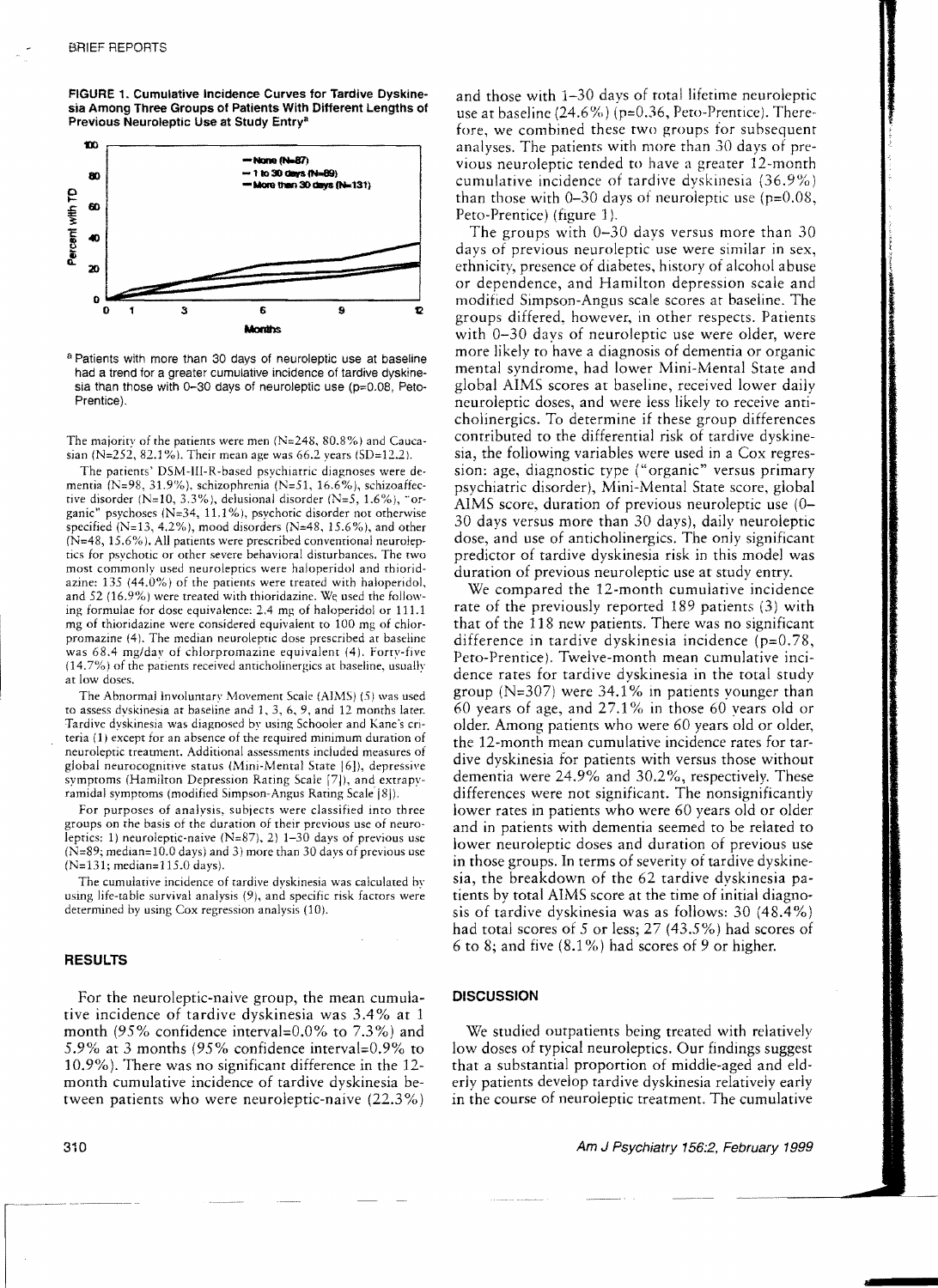FIGURE 1. Cumulative Incidence Curves for Tardive Dyskinesia Among Three Groups of Patients With Different Lengths of Previous Neuroleptic Use at Study Entry<sup>a</sup>



a Patients with more than 30 days of neuroleptic use at baseline had a trend for a greater cumulative incidence of tardive dyskinesia than those with 0-30 days of neuroleptic use (p=0.08, Peto-Prentice).

The majority of the patients were men  $(N=248, 80.8%)$  and Caucasian (N=252, 82.1%). Their mean age was 66.2 years (SD=12.2).

The patients' DSM-III-R-based psychiatric diagnoses were dementia (N=98, 31.9%), schizophrenia (N=51, 16.6%), schizoaffective disorder (N=10, 3.3%), delusional disorder (N=5, 1.6%), "organic" psychoses (N=34, 11.1%), psychotic disorder not otherwise specified (N=13, 4.2%), mood disorders (N=48, 15.6%), and other  $(N=48, 15.6\%)$ . All patients were prescribed conventional neuroleptics for psychotic or other severe behavioral disturbances. The two most commonly used neuroleptics were haloperidol and thioridazine: 135 (44.0%) of the patients were treated with haloperidol, and 52 (16.9%) were treated with thioridazine. We used the following formulae for dose equivalence: 2.4 mg of haloperidol or 111.1 mg of thioridazine were considered equivalent to 100 mg of chlorpromazine (4). The median neuroleptic dose prescribed at baseline was 68.4 mg/day of chlorpromazine equivalent (4). Forty-five (14.7%) of the patients received anticholinergics at baseline, usually at low doses.

The Abnormal Involuntary Movement Scale (AIMS) (5) was used to assess dyskinesia at baseline and 1, 3, 6, 9, and 12 months later. Tardive dyskinesia was diagnosed by using Schooler and Kane's criteria (1) except for an absence of the required minimum duration of neuroleptic treatment. Additional assessments included measures of global neurocognitive status (Mini-Mental State [6]), depressive symptoms (Hamilton Depression Rating Scale [7]), and extrapvramidal symptoms (modified Simpson-Angus Rating Scale [8]).

For purposes of analysis, subjects were classified into three groups on the basis of the duration of their previous use of neuroleptics: 1) neuroleptic-naive ( $N=87$ ), 2) 1-30 days of previous use  $(N=89; median=10.0 days)$  and 3) more than 30 days of previous use  $(N=131; median=115.0 days).$ 

The cumulative incidence of tardive dyskinesia was calculated by using life-table survival analysis (9), and specific risk factors were determined by using Cox regression analysis (10).

 $\mathcal{L}$ 

### **RESULTS**

For the neuroleptic-naive group, the mean cumulative incidence of tardive dyskinesia was 3.4% at 1 month  $(95\%$  confidence interval=0.0% to 7.3%) and 5.9% at 3 months (95% confidence interval=0.9% to 10.9%). There was no significant difference in the 12month cumulative incidence of tardive dyskinesia between patients who were neuroleptic-naive (22.3%)

and those with 1-30 days of total lifetime neuroleptic use at baseline  $(24.6\%)$  (p=0.36, Peto-Prentice). Therefore, we combined these two groups for subsequent analyses. The patients with more than 30 days of previous neuroleptic tended to have a greater 12-month cumulative incidence of tardive dyskinesia (36.9%) than those with  $0-30$  days of neuroleptic use ( $p=0.08$ , Peto-Prentice) (figure 1).

The groups with 0-30 days versus more than 30 days of previous neuroleptic use were similar in sex, ethnicity, presence of diabetes, history of alcohol abuse or dependence, and Hamilton depression scale and modified Simpson-Angus scale scores at baseline. The groups differed, however, in other respects. Patients with 0-30 days of neuroleptic use were older, were more likely to have a diagnosis of dementia or organic mental syndrome, had lower Mini-Mental State and global AIMS scores at baseline, received lower daily neuroleptic doses, and were less likely to receive anticholinergics. To determine if these group differences contributed to the differential risk of tardive dyskinesia, the following variables were used in a Cox regression: age, diagnostic type ("organic" versus primary psychiatric disorder), Mini-Mental State score, global AIMS score, duration of previous neuroleptic use (0– 30 days versus more than 30 days), daily neuroleptic dose, and use of anticholinergics. The only significant predictor of tardive dyskinesia risk in this model was duration of previous neuroleptic use at study entry.

We compared the 12-month cumulative incidence rate of the previously reported 189 patients (3) with that of the 118 new patients. There was no significant difference in tardive dyskinesia incidence  $(p=0.78,$ Peto-Prentice). Twelve-month mean cumulative incidence rates for tardive dyskinesia in the total study group ( $N=307$ ) were 34.1% in patients vounger than 60 years of age, and  $27.1\%$  in those 60 years old or older. Among patients who were 60 years old or older, the 12-month mean cumulative incidence rates for tardive dyskinesia for patients with versus those without dementia were 24.9% and 30.2%, respectively. These differences were not significant. The nonsignificantly lower rates in patients who were 60 years old or older and in patients with dementia seemed to be related to lower neuroleptic doses and duration of previous use in those groups. In terms of severity of tardive dyskinesia, the breakdown of the 62 tardive dyskinesia patients by total AIMS score at the time of initial diagnosis of tardive dyskinesia was as follows: 30 (48.4%) had total scores of 5 or less;  $27(43.5%)$  had scores of 6 to 8; and five  $(8.1\%)$  had scores of 9 or higher.

## **DISCUSSION**

We studied outpatients being treated with relatively low doses of typical neuroleptics. Our findings suggest that a substantial proportion of middle-aged and elderly patients develop tardive dyskinesia relatively early in the course of neuroleptic treatment. The cumulative